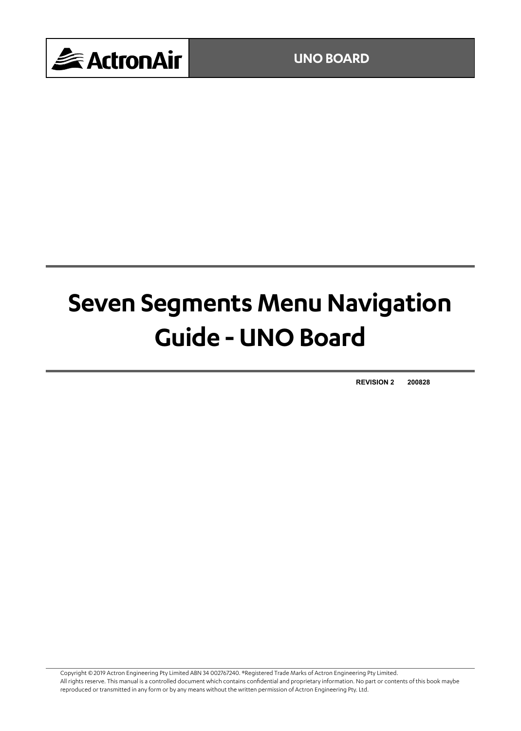

# **Seven Segments Menu Navigation Guide - UNO Board**

**REVISION 2 200828**

Copyright © 2019 Actron Engineering Pty Limited ABN 34 002767240. ®Registered Trade Marks of Actron Engineering Pty Limited. All rights reserve. This manual is a controlled document which contains confidential and proprietary information. No part or contents of this book maybe reproduced or transmitted in any form or by any means without the written permission of Actron Engineering Pty. Ltd.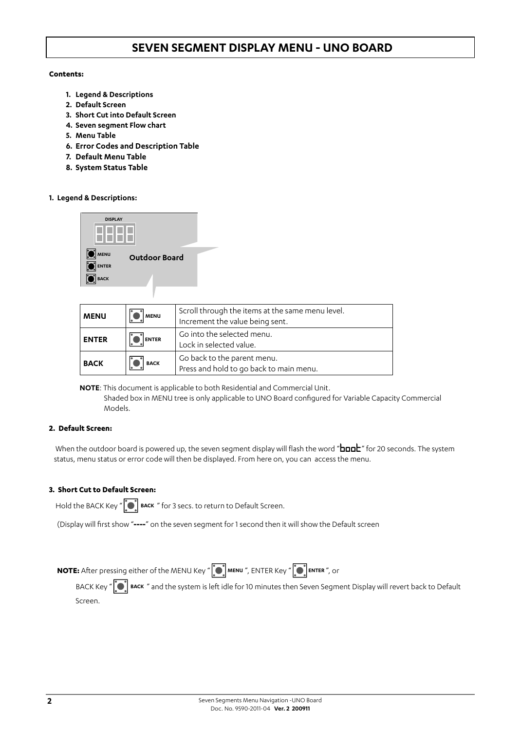#### **Contents:**

- **1. Legend & Descriptions**
- **2. Default Screen**
- **3. Short Cut into Default Screen**
- **4. Seven segment Flow chart**
- **5. Menu Table**
- **6. Error Codes and Description Table**
- **7. Default Menu Table**
- **8. System Status Table**

#### **1. Legend & Descriptions:**



| <b>MENU</b>  | <b>MENU</b>  | Scroll through the items at the same menu level.<br>Increment the value being sent. |
|--------------|--------------|-------------------------------------------------------------------------------------|
| <b>ENTER</b> | <b>ENTER</b> | Go into the selected menu.<br>Lock in selected value.                               |
| <b>BACK</b>  | <b>BACK</b>  | Go back to the parent menu.<br>Press and hold to go back to main menu.              |

**NOTE**: This document is applicable to both Residential and Commercial Unit.

 Shaded box in MENU tree is only applicable to UNO Board configured for Variable Capacity Commercial Models.

#### **2. Default Screen:**

When the outdoor board is powered up, the seven segment display will flash the word "  $b$  and  $k$ " for 20 seconds. The system status, menu status or error code will then be displayed. From here on, you can access the menu.

#### **3. Short Cut to Default Screen:**

Hold the BACK Key "  $\left[\bullet\right]$  **BACK** " for 3 secs. to return to Default Screen.

(Display will first show "**----**" on the seven segment for 1 second then it will show the Default screen

 **NOTE:** After pressing either of the MENU Key "  $\bigcirc$  **MENU** ", ENTER Key "  $\bigcirc$  ENTER ", or

BACK Key "**ICT** BACK " and the system is left idle for 10 minutes then Seven Segment Display will revert back to Default Screen.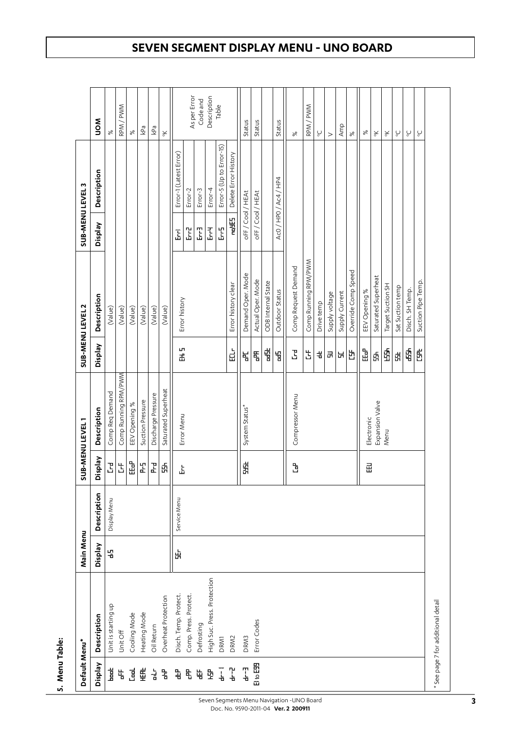| Default Menu*  |                                    | Main Menu |              |              | SUB-MENU LEVEL1      |            | SUB-MENU LEVEL 2     | SUB-MENU LEVEL3 |                          |                                  |
|----------------|------------------------------------|-----------|--------------|--------------|----------------------|------------|----------------------|-----------------|--------------------------|----------------------------------|
|                |                                    |           |              |              |                      |            |                      |                 |                          |                                  |
| Veldsig        | Description                        | Velasia   | Description  | Veldsig      | Description          | Veldsia    | Description          | Veldsig         | Description              | NON                              |
| $\frac{1}{2}$  | Unit is starting up                | 붑         | Display Menu |              | Comp Req Demand      |            | (Value)              |                 |                          | $\aleph$                         |
| ጜ              | Unit Off                           |           |              | 괴보           | Comp Running RPM/PWM |            | (Value)              |                 |                          | RPM / PWM                        |
| 뎒              | Cooling Mode                       |           |              | -<br>대       | EEV Opening %        |            | (Value)              |                 |                          | 8 <sup>o</sup>                   |
| 电              | Heating Mode                       |           |              | $\mathbf{F}$ | Suction Pressure     |            | (Value)              |                 |                          | kPa                              |
| 닅              | Oil Return                         |           |              | F            | Discharge Pressure   |            | (Value)              |                 |                          | kPa                              |
| 飞              | Overheat Protection                |           |              | Ą            | Saturated Superheat  |            | (Value)              |                 |                          | $\mathop{\times}\limits_{\circ}$ |
| 中              | Disch. Temp. Protect.              | 버         | Service Menu | 모            | Error Menu           | 足里         | Error history        | <u>ፔ</u>        | Error-1 (Latest Error)   |                                  |
| ጜ              | Comp. Press. Protect.              |           |              |              |                      |            |                      | <u>ዤ</u>        | Error-2                  | As per Error                     |
| 中              | Defrosting                         |           |              |              |                      |            |                      | <u>ፔ</u>        | Error-3                  | Code and                         |
| ຼີງ            | High Suc. Press. Protection        |           |              |              |                      |            |                      | 玉               | Error-4                  | Description                      |
|                | <b>DRM1</b>                        |           |              |              |                      |            |                      | Į               | Error-5 (Up to Error-15) | Table                            |
| $\overline{4}$ | DRM2                               |           |              |              |                      | ដ្ឋ        | Error history clear  | 뙕               | Delete Error History     |                                  |
| $\frac{1}{4}$  | DRM3                               |           |              | e.<br>Sk     | System Status*       | ጜ          | Demand Oper. Mode    | oFF/Cool/HEAt   |                          | Status                           |
| Bto 田          | Error Codes                        |           |              |              |                      | Ę          | Actual Oper. Mode    | oFF/Cool/HEAt   |                          | Status                           |
|                |                                    |           |              |              |                      | 볇          | ODB Internal State   |                 |                          |                                  |
|                |                                    |           |              |              |                      | 뜀          | Outdoor Status       |                 | Ac0 / HPO / Ac4 / HP4    | Status                           |
|                |                                    |           |              | Ć            | Compressor Menu      | <b>F</b>   | Comp Request Demand  |                 |                          | ৯ৎ                               |
|                |                                    |           |              |              |                      | 苫          | Comp Running RPM/PWM |                 |                          | RPM / PWM                        |
|                |                                    |           |              |              |                      | $\ddot{a}$ | Drive temp           |                 |                          | $\mathcal{C}$                    |
|                |                                    |           |              |              |                      | ᆒ          | Supply voltage       |                 |                          | $\rm{~}$                         |
|                |                                    |           |              |              |                      | 너          | Supply Current       |                 |                          | Amp                              |
|                |                                    |           |              |              |                      | 边          | Override Comp Speed  |                 |                          | 8 <sup>o</sup>                   |
|                |                                    |           |              | 田            | Electronic           | 品          | EEV Opening %        |                 |                          | ৯ৎ                               |
|                |                                    |           |              |              | Expansion Valve      | 由          | Saturated Superheat  |                 |                          | $\mathop{\times}\limits_{\circ}$ |
|                |                                    |           |              |              | Menu                 | 由<br>王     | Target Suction SH    |                 |                          | $\underset{\circ}{\times}$       |
|                |                                    |           |              |              |                      | 由          | Sat Suction temp     |                 |                          | $\mathsf{C}$                     |
|                |                                    |           |              |              |                      | \$         | Disch. SH Temp.      |                 |                          | $\sum_{\circ}$                   |
|                |                                    |           |              |              |                      | 的          | Suction Pipe Temp.   |                 |                          | $\mathop{\mathsf{C}}\nolimits$   |
|                | * See page 7 for additional detail |           |              |              |                      |            |                      |                 |                          |                                  |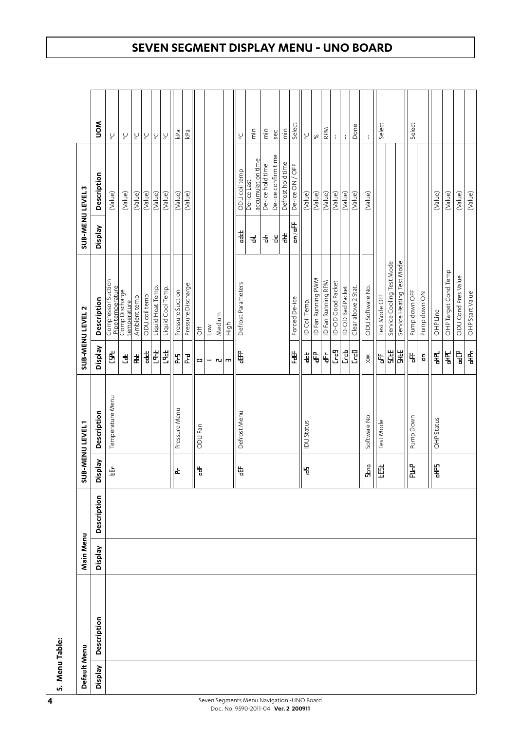| Default Menu |             | Main Menu |             |         | SUB-MENU LEVEL1   |                     | SUB-MENU LEVEL 2                                         | SUB-MENU LEVEL 3 |                                  |                                 |  |
|--------------|-------------|-----------|-------------|---------|-------------------|---------------------|----------------------------------------------------------|------------------|----------------------------------|---------------------------------|--|
| Veldsia      | Description | Veldsig   | Description | Veldsig | Description       | Veldsig             | Description                                              | Veldsig          | Description                      | NON                             |  |
|              |             |           |             | 出       | Temperature Menu  | 的                   | Compressor Suction<br>Pipe temperature<br>Comp Discharge |                  | (Value)                          | Ő                               |  |
|              |             |           |             |         |                   | Ë                   | temperature                                              |                  | (Value)                          | $\mathop{\mathbb{C}}\nolimits$  |  |
|              |             |           |             |         |                   | 峀                   | Ambient temp                                             |                  | (Value)                          | $\mathop{\circ}\limits_{\circ}$ |  |
|              |             |           |             |         |                   | $\frac{4}{3}$       | ODU coil temp                                            |                  | (Value)                          | $\mathsf{S}$                    |  |
|              |             |           |             |         |                   | H                   | Liquid Heat Temp.                                        |                  | (Value)                          | $\mathop{\mathsf{C}}\nolimits$  |  |
|              |             |           |             |         |                   | 出                   | Liquid Cool Temp.                                        |                  | (Value)                          | $\mathop{\mathsf{C}}\nolimits$  |  |
|              |             |           |             | 中       | Pressure Menu     | ľ                   | Pressure Suction                                         |                  | (Value)                          | kPa                             |  |
|              |             |           |             |         |                   | Į                   | Pressure Discharge                                       |                  | (Value)                          | kPa                             |  |
|              |             |           |             | 旨       | ODU Fan           | o                   | $\overline{5}$                                           |                  |                                  |                                 |  |
|              |             |           |             |         |                   | —                   | $\sim$                                                   |                  |                                  |                                 |  |
|              |             |           |             |         |                   |                     | Medium                                                   |                  |                                  |                                 |  |
|              |             |           |             |         |                   | ru m                | High                                                     |                  |                                  |                                 |  |
|              |             |           |             | 4       | Defrost Menu      | 串                   | Defrost Parameters                                       | 붴                | ODU coil temp                    | $\sum_{\circ}$                  |  |
|              |             |           |             |         |                   |                     |                                                          | 긝                | accumulation time<br>De-ice Last | $\frac{c}{E}$                   |  |
|              |             |           |             |         |                   |                     |                                                          | 者                | De-ice hold time                 | $\frac{c}{E}$                   |  |
|              |             |           |             |         |                   |                     |                                                          | 놉                | De-ice confirm time              | sec                             |  |
|              |             |           |             |         |                   |                     |                                                          | ⋠                | Defrost hold time                | $\frac{c}{E}$                   |  |
|              |             |           |             |         |                   | 臣                   | Forced De-ice                                            | m/m              | De-ice ON / OFF                  | Select                          |  |
|              |             |           |             | 4       | <b>IDU Status</b> | 법                   | ID Coil Temp.                                            |                  | (Value)                          | $\mathop{\mathsf{C}}\nolimits$  |  |
|              |             |           |             |         |                   | ₽                   | ID Fan Running PWM                                       |                  | (Value)                          | $\aleph$                        |  |
|              |             |           |             |         |                   | 占                   | ID Fan Running RPM                                       |                  | (Value)                          | RPM                             |  |
|              |             |           |             |         |                   | <mark>ፒ</mark>      | ID-OD Good Packet                                        |                  | (Value)                          |                                 |  |
|              |             |           |             |         |                   | <u>ដ</u>            | ID-OD Bad Packet                                         |                  | (Value)                          |                                 |  |
|              |             |           |             |         |                   | <u>ម</u>            | Clear above 2 Stat.                                      |                  | (Value)                          | Done                            |  |
|              |             |           |             | 멓       | Software No.      | $\gtrapprox$        | ODU Software No.                                         |                  | (Value)                          |                                 |  |
|              |             |           |             | 田       | Test Mode         | 出                   | Test Mode OFF                                            |                  |                                  | Select                          |  |
|              |             |           |             |         |                   | 出足                  | Service Cooling Test Mode                                |                  |                                  |                                 |  |
|              |             |           |             |         |                   | HE<br>H             | Service Heating Test Mode                                |                  |                                  |                                 |  |
|              |             |           |             | ]<br>군  | Pump Down         | ቴ                   | Pump down OFF                                            |                  |                                  | Select                          |  |
|              |             |           |             |         |                   | $\mathsf{S}\xspace$ | Pump down ON                                             |                  |                                  |                                 |  |
|              |             |           |             | 髦       | OHP Status        | 튘                   | OHP Line                                                 |                  | (Value)                          |                                 |  |
|              |             |           |             |         |                   | ¥                   | OHP Target Cond Temp                                     |                  | (Value)                          |                                 |  |
|              |             |           |             |         |                   | 白                   | ODU Cond Pres Value                                      |                  | (Value)                          |                                 |  |
|              |             |           |             |         |                   | $\ddot{\mathbf{f}}$ | OHP Start Value                                          |                  | (Value)                          |                                 |  |

**5. Menu Table:**

5. Menu Table: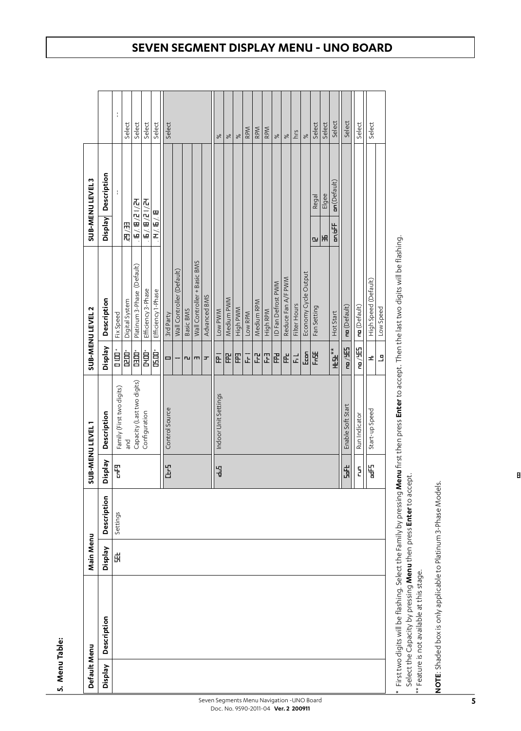| Ť<br>Select<br>Select<br>Select<br>Select<br>Select<br>Select<br>Select<br>Select<br>Select<br>Select<br>Select<br><b>RPM</b><br>RPM<br>RPM<br>hrs<br>$\aleph$<br>$\aleph$<br>$\aleph$<br>$\aleph$<br>ಸ<br>$\aleph$<br>Description<br>$m$ (Default)<br>ł<br>Elgee<br>Regal<br>元/1月/日/5<br>E / E / E / E<br>H/. 6/. 8<br>Veldsig<br>用用<br>m/dF<br>H<br><u>ru</u><br>Wall Controller + Basic BMS<br>Platinum 3-Phase (Default)<br>Wall Controller (Default)<br>Economy Cycle Output<br>Reduce Fan A/F PWM<br>High Speed (Default)<br>ID Fan Defrost PWM<br>Efficiency 3-Phase<br>Efficiency 1-Phase<br>Advanced BMS<br>Description<br>Medium PWM<br>Digital System<br>Medium RPM<br>Filter Hours<br>$m$ (Default)<br>$m($ Default $)$<br>Fan Setting<br>Low Speed<br>MWd ylgiH<br>Low PWM<br>Basic BMS<br>High RPM<br>Low RPM<br>Hot Start<br>Fix Speed<br>3rd Party<br>出)是<br>Veldsia<br>出)声<br><b>HEL</b><br>。<br>日<br>ロ<br>È<br>B<br>È<br>USO<br>白田<br>皇<br>E<br>Fritt<br>회되면<br>氏<br>E<br>멘<br>$\overline{r}$<br>군<br>£<br>正<br>Î<br>o<br>пu<br>$\mathbf{m}$<br>$\blacksquare$<br>Capacity (Last two digits)<br>Family (First two digits)<br>Indoor Unit Settings<br>Enable Soft Start<br>Control Source<br>Start-up Speed<br>Configuration<br>Description<br>Run Indicator<br>pue<br>Pue<br>Veldsia<br>ž<br>B<br>뜁<br>ă,<br>Ŧ<br>녑<br>$\mathbf{5}$<br>Description<br>Settings<br>Veldsia<br>벆<br>Description<br>Veldsig | Default Menu | Main Menu | ä | <b>B-MENULEVEL1</b> | <b>SUB-MENU LEVEL 2</b> | <b>SUB-MENULEVEL3</b> |  |
|----------------------------------------------------------------------------------------------------------------------------------------------------------------------------------------------------------------------------------------------------------------------------------------------------------------------------------------------------------------------------------------------------------------------------------------------------------------------------------------------------------------------------------------------------------------------------------------------------------------------------------------------------------------------------------------------------------------------------------------------------------------------------------------------------------------------------------------------------------------------------------------------------------------------------------------------------------------------------------------------------------------------------------------------------------------------------------------------------------------------------------------------------------------------------------------------------------------------------------------------------------------------------------------------------------------------------------------------------------------------------------------------------------------------------|--------------|-----------|---|---------------------|-------------------------|-----------------------|--|
|                                                                                                                                                                                                                                                                                                                                                                                                                                                                                                                                                                                                                                                                                                                                                                                                                                                                                                                                                                                                                                                                                                                                                                                                                                                                                                                                                                                                                            |              |           |   |                     |                         |                       |  |
|                                                                                                                                                                                                                                                                                                                                                                                                                                                                                                                                                                                                                                                                                                                                                                                                                                                                                                                                                                                                                                                                                                                                                                                                                                                                                                                                                                                                                            |              |           |   |                     |                         |                       |  |
|                                                                                                                                                                                                                                                                                                                                                                                                                                                                                                                                                                                                                                                                                                                                                                                                                                                                                                                                                                                                                                                                                                                                                                                                                                                                                                                                                                                                                            |              |           |   |                     |                         |                       |  |
|                                                                                                                                                                                                                                                                                                                                                                                                                                                                                                                                                                                                                                                                                                                                                                                                                                                                                                                                                                                                                                                                                                                                                                                                                                                                                                                                                                                                                            |              |           |   |                     |                         |                       |  |
|                                                                                                                                                                                                                                                                                                                                                                                                                                                                                                                                                                                                                                                                                                                                                                                                                                                                                                                                                                                                                                                                                                                                                                                                                                                                                                                                                                                                                            |              |           |   |                     |                         |                       |  |
|                                                                                                                                                                                                                                                                                                                                                                                                                                                                                                                                                                                                                                                                                                                                                                                                                                                                                                                                                                                                                                                                                                                                                                                                                                                                                                                                                                                                                            |              |           |   |                     |                         |                       |  |
|                                                                                                                                                                                                                                                                                                                                                                                                                                                                                                                                                                                                                                                                                                                                                                                                                                                                                                                                                                                                                                                                                                                                                                                                                                                                                                                                                                                                                            |              |           |   |                     |                         |                       |  |
|                                                                                                                                                                                                                                                                                                                                                                                                                                                                                                                                                                                                                                                                                                                                                                                                                                                                                                                                                                                                                                                                                                                                                                                                                                                                                                                                                                                                                            |              |           |   |                     |                         |                       |  |
|                                                                                                                                                                                                                                                                                                                                                                                                                                                                                                                                                                                                                                                                                                                                                                                                                                                                                                                                                                                                                                                                                                                                                                                                                                                                                                                                                                                                                            |              |           |   |                     |                         |                       |  |
|                                                                                                                                                                                                                                                                                                                                                                                                                                                                                                                                                                                                                                                                                                                                                                                                                                                                                                                                                                                                                                                                                                                                                                                                                                                                                                                                                                                                                            |              |           |   |                     |                         |                       |  |
|                                                                                                                                                                                                                                                                                                                                                                                                                                                                                                                                                                                                                                                                                                                                                                                                                                                                                                                                                                                                                                                                                                                                                                                                                                                                                                                                                                                                                            |              |           |   |                     |                         |                       |  |
|                                                                                                                                                                                                                                                                                                                                                                                                                                                                                                                                                                                                                                                                                                                                                                                                                                                                                                                                                                                                                                                                                                                                                                                                                                                                                                                                                                                                                            |              |           |   |                     |                         |                       |  |
|                                                                                                                                                                                                                                                                                                                                                                                                                                                                                                                                                                                                                                                                                                                                                                                                                                                                                                                                                                                                                                                                                                                                                                                                                                                                                                                                                                                                                            |              |           |   |                     |                         |                       |  |
|                                                                                                                                                                                                                                                                                                                                                                                                                                                                                                                                                                                                                                                                                                                                                                                                                                                                                                                                                                                                                                                                                                                                                                                                                                                                                                                                                                                                                            |              |           |   |                     |                         |                       |  |
|                                                                                                                                                                                                                                                                                                                                                                                                                                                                                                                                                                                                                                                                                                                                                                                                                                                                                                                                                                                                                                                                                                                                                                                                                                                                                                                                                                                                                            |              |           |   |                     |                         |                       |  |
|                                                                                                                                                                                                                                                                                                                                                                                                                                                                                                                                                                                                                                                                                                                                                                                                                                                                                                                                                                                                                                                                                                                                                                                                                                                                                                                                                                                                                            |              |           |   |                     |                         |                       |  |
|                                                                                                                                                                                                                                                                                                                                                                                                                                                                                                                                                                                                                                                                                                                                                                                                                                                                                                                                                                                                                                                                                                                                                                                                                                                                                                                                                                                                                            |              |           |   |                     |                         |                       |  |
|                                                                                                                                                                                                                                                                                                                                                                                                                                                                                                                                                                                                                                                                                                                                                                                                                                                                                                                                                                                                                                                                                                                                                                                                                                                                                                                                                                                                                            |              |           |   |                     |                         |                       |  |
|                                                                                                                                                                                                                                                                                                                                                                                                                                                                                                                                                                                                                                                                                                                                                                                                                                                                                                                                                                                                                                                                                                                                                                                                                                                                                                                                                                                                                            |              |           |   |                     |                         |                       |  |
|                                                                                                                                                                                                                                                                                                                                                                                                                                                                                                                                                                                                                                                                                                                                                                                                                                                                                                                                                                                                                                                                                                                                                                                                                                                                                                                                                                                                                            |              |           |   |                     |                         |                       |  |
|                                                                                                                                                                                                                                                                                                                                                                                                                                                                                                                                                                                                                                                                                                                                                                                                                                                                                                                                                                                                                                                                                                                                                                                                                                                                                                                                                                                                                            |              |           |   |                     |                         |                       |  |
|                                                                                                                                                                                                                                                                                                                                                                                                                                                                                                                                                                                                                                                                                                                                                                                                                                                                                                                                                                                                                                                                                                                                                                                                                                                                                                                                                                                                                            |              |           |   |                     |                         |                       |  |
|                                                                                                                                                                                                                                                                                                                                                                                                                                                                                                                                                                                                                                                                                                                                                                                                                                                                                                                                                                                                                                                                                                                                                                                                                                                                                                                                                                                                                            |              |           |   |                     |                         |                       |  |
|                                                                                                                                                                                                                                                                                                                                                                                                                                                                                                                                                                                                                                                                                                                                                                                                                                                                                                                                                                                                                                                                                                                                                                                                                                                                                                                                                                                                                            |              |           |   |                     |                         |                       |  |
|                                                                                                                                                                                                                                                                                                                                                                                                                                                                                                                                                                                                                                                                                                                                                                                                                                                                                                                                                                                                                                                                                                                                                                                                                                                                                                                                                                                                                            |              |           |   |                     |                         |                       |  |
|                                                                                                                                                                                                                                                                                                                                                                                                                                                                                                                                                                                                                                                                                                                                                                                                                                                                                                                                                                                                                                                                                                                                                                                                                                                                                                                                                                                                                            |              |           |   |                     |                         |                       |  |
|                                                                                                                                                                                                                                                                                                                                                                                                                                                                                                                                                                                                                                                                                                                                                                                                                                                                                                                                                                                                                                                                                                                                                                                                                                                                                                                                                                                                                            |              |           |   |                     |                         |                       |  |
|                                                                                                                                                                                                                                                                                                                                                                                                                                                                                                                                                                                                                                                                                                                                                                                                                                                                                                                                                                                                                                                                                                                                                                                                                                                                                                                                                                                                                            |              |           |   |                     |                         |                       |  |
|                                                                                                                                                                                                                                                                                                                                                                                                                                                                                                                                                                                                                                                                                                                                                                                                                                                                                                                                                                                                                                                                                                                                                                                                                                                                                                                                                                                                                            |              |           |   |                     |                         |                       |  |

First two digits will be flashing. Select the Family by pressing **Menu** first then press **Enter** to accept. Then the last two digits will be flashing.<br>Select the Capacity by pressing **Menu** then press **Enter** to accept. \* First two digits will be flashing. Select the Family by pressing **Menu** first then press **Enter** to accept. Then the last two digits will be flashing. Select the Capacity by pressing **Menu** then press **Enter** to accept.

\*\* Feature is not available at this stage. \*\* Feature is not available at this stage.

NOTE: Shaded box is only applicable to Platinum 3-Phase Models. **NOTE**: Shaded box is only applicable to Platinum 3-Phase Models.

## **SEVEN SEGMENT DISPLAY MENU - UNO BOARD**

**5. Menu Table:**

5. Menu Table: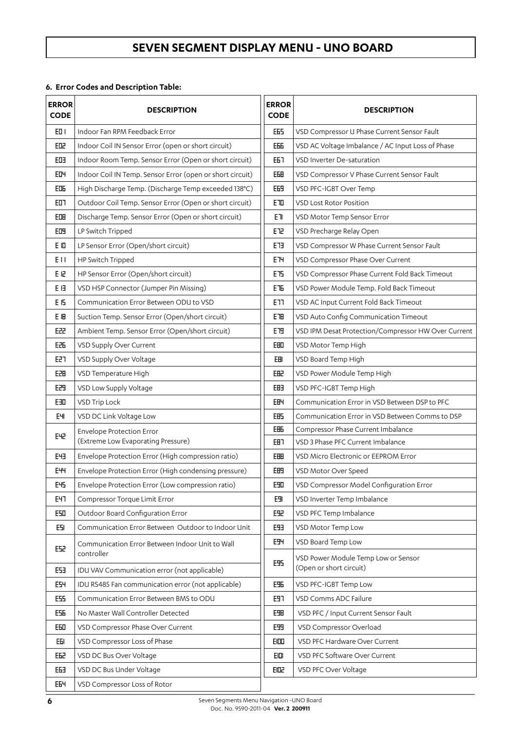## **6. Error Codes and Description Table:**

| <b>ERROR</b><br><b>CODE</b> | <b>DESCRIPTION</b>                                            | <b>ERROR</b><br><b>CODE</b> | <b>DESCRIPTION</b>                                        |
|-----------------------------|---------------------------------------------------------------|-----------------------------|-----------------------------------------------------------|
| E1                          | Indoor Fan RPM Feedback Error                                 | EE5                         | VSD Compressor U Phase Current Sensor Fault               |
| EDZ                         | Indoor Coil IN Sensor Error (open or short circuit)           | EББ                         | VSD AC Voltage Imbalance / AC Input Loss of Phase         |
| ED <sub>3</sub>             | Indoor Room Temp. Sensor Error (Open or short circuit)        | E67                         | VSD Inverter De-saturation                                |
| EDH                         | Indoor Coil IN Temp. Sensor Error (open or short circuit)     | <b>EEH</b>                  | VSD Compressor V Phase Current Sensor Fault               |
| 肛                           | High Discharge Temp. (Discharge Temp exceeded 138°C)          | E69                         | VSD PFC-IGBT Over Temp                                    |
| ED <sub>1</sub>             | Outdoor Coil Temp. Sensor Error (Open or short circuit)       | <b>ETO</b>                  | <b>VSD Lost Rotor Position</b>                            |
| EDH                         | Discharge Temp. Sensor Error (Open or short circuit)          | E <sub>1</sub>              | VSD Motor Temp Sensor Error                               |
| ED <sub>1</sub>             | LP Switch Tripped                                             | EE                          | VSD Precharge Relay Open                                  |
| ΕO                          | LP Sensor Error (Open/short circuit)                          | EE                          | VSD Compressor W Phase Current Sensor Fault               |
| E <sub>11</sub>             | HP Switch Tripped                                             | <b>ETH</b>                  | VSD Compressor Phase Over Current                         |
| E 6                         | HP Sensor Error (Open/short circuit)                          | ET5                         | VSD Compressor Phase Current Fold Back Timeout            |
| EH                          | VSD HSP Connector (Jumper Pin Missing)                        | EЪ                          | VSD Power Module Temp. Fold Back Timeout                  |
| E 6                         | Communication Error Between ODU to VSD                        | <b>ETT</b>                  | VSD AC Input Current Fold Back Timeout                    |
| E 8                         | Suction Temp. Sensor Error (Open/short circuit)               | EH                          | VSD Auto Config Communication Timeout                     |
| E22                         | Ambient Temp. Sensor Error (Open/short circuit)               | ET <sub>H</sub>             | VSD IPM Desat Protection/Compressor HW Over Current       |
| 胚                           | VSD Supply Over Current                                       | <b>EHD</b>                  | VSD Motor Temp High                                       |
| EZT                         | VSD Supply Over Voltage                                       | EB                          | VSD Board Temp High                                       |
| 田                           | VSD Temperature High                                          | EBZ                         | VSD Power Module Temp High                                |
| E29                         | VSD Low Supply Voltage                                        | EH <sub>3</sub>             | VSD PFC-IGBT Temp High                                    |
| EШ                          | VSD Trip Lock                                                 | <b>EBY</b>                  | Communication Error in VSD Between DSP to PFC             |
| EЧ                          | VSD DC Link Voltage Low                                       | EB <sub>5</sub>             | Communication Error in VSD Between Comms to DSP           |
| EHZ                         | <b>Envelope Protection Error</b>                              | <b>EH<sub>E</sub></b>       | Compressor Phase Current Imbalance                        |
|                             | (Extreme Low Evaporating Pressure)                            | EH <sub>1</sub>             | VSD 3 Phase PFC Current Imbalance                         |
| <b>FH3</b>                  | Envelope Protection Error (High compression ratio)            | EBB                         | VSD Micro Electronic or EEPROM Error                      |
| <b>E44</b>                  | Envelope Protection Error (High condensing pressure)          | EB9                         | VSD Motor Over Speed                                      |
| E <sup>45</sup>             | Envelope Protection Error (Low compression ratio)             | ESD                         | VSD Compressor Model Configuration Error                  |
| E47                         | Compressor Torque Limit Error                                 | E9                          | VSD Inverter Temp Imbalance                               |
| E50                         | Outdoor Board Configuration Error                             | ESP                         | VSD PFC Temp Imbalance                                    |
| E51                         | Communication Error Between Outdoor to Indoor Unit            | E93                         | VSD Motor Temp Low                                        |
| E52                         | Communication Error Between Indoor Unit to Wall<br>controller | ESH                         | VSD Board Temp Low<br>VSD Power Module Temp Low or Sensor |
| E53                         | IDU VAV Communication error (not applicable)                  | ES <sub>5</sub>             | (Open or short circuit)                                   |
| <b>ESH</b>                  | IDU RS485 Fan communication error (not applicable)            | EЖ                          | VSD PFC-IGBT Temp Low                                     |
| E55                         | Communication Error Between BMS to ODU                        | E97                         | VSD Comms ADC Failure                                     |
| E5E                         | No Master Wall Controller Detected                            | ESH                         | VSD PFC / Input Current Sensor Fault                      |
| EBD                         | VSD Compressor Phase Over Current                             | E99                         | VSD Compressor Overload                                   |
| EЫ                          | VSD Compressor Loss of Phase                                  | EIDID                       | VSD PFC Hardware Over Current                             |
| E62                         | VSD DC Bus Over Voltage                                       | EIDI                        | VSD PFC Software Over Current                             |
| 田                           | VSD DC Bus Under Voltage                                      | 即足                          | VSD PFC Over Voltage                                      |
| EEH                         | VSD Compressor Loss of Rotor                                  |                             |                                                           |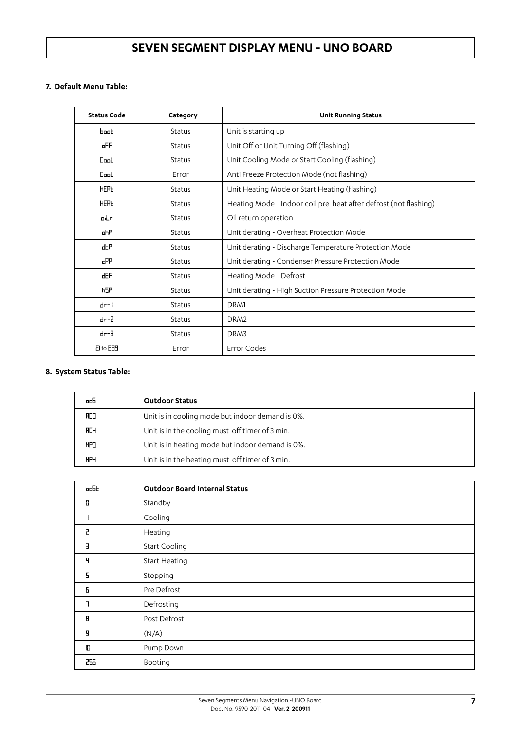### **7. Default Menu Table:**

| <b>Status Code</b> | Category | <b>Unit Running Status</b>                                       |
|--------------------|----------|------------------------------------------------------------------|
| $b$ ook            | Status   | Unit is starting up                                              |
| oFF                | Status   | Unit Off or Unit Turning Off (flashing)                          |
| <b>Cool</b>        | Status   | Unit Cooling Mode or Start Cooling (flashing)                    |
| $L_{\rm{bol}}$     | Error    | Anti Freeze Protection Mode (not flashing)                       |
| <b>HERE</b>        | Status   | Unit Heating Mode or Start Heating (flashing)                    |
| <b>HERL</b>        | Status   | Heating Mode - Indoor coil pre-heat after defrost (not flashing) |
| otr                | Status   | Oil return operation                                             |
| oНP                | Status   | Unit derating - Overheat Protection Mode                         |
| 出                  | Status   | Unit derating - Discharge Temperature Protection Mode            |
| cPP                | Status   | Unit derating - Condenser Pressure Protection Mode               |
| dEF                | Status   | Heating Mode - Defrost                                           |
| <b>HSP</b>         | Status   | Unit derating - High Suction Pressure Protection Mode            |
| $dr - 1$           | Status   | DRM1                                                             |
| dr-2               | Status   | DRM <sub>2</sub>                                                 |
| $f-f$              | Status   | DRM3                                                             |
| El to ESS          | Error    | Error Codes                                                      |

## **8. System Status Table:**

| od:  | <b>Outdoor Status</b>                            |
|------|--------------------------------------------------|
| fico | Unit is in cooling mode but indoor demand is 0%. |
| ÆЧ   | Unit is in the cooling must-off timer of 3 min.  |
| HPΩ  | Unit is in heating mode but indoor demand is 0%. |
| Н٣Ч  | Unit is in the heating must-off timer of 3 min.  |

| odSk | <b>Outdoor Board Internal Status</b> |
|------|--------------------------------------|
| П    | Standby                              |
|      | Cooling                              |
| 2    | Heating                              |
| E    | Start Cooling                        |
| Ч    | Start Heating                        |
| 5    | Stopping                             |
| Б    | Pre Defrost                          |
|      | Defrosting                           |
| Н    | Post Defrost                         |
| Я    | (N/A)                                |
| O    | Pump Down                            |
| 255  | Booting                              |